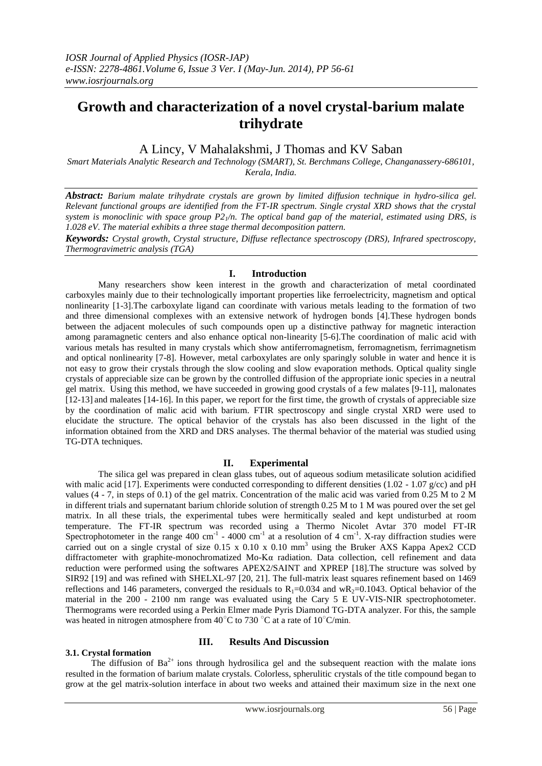# **Growth and characterization of a novel crystal-barium malate trihydrate**

# A Lincy, V Mahalakshmi, J Thomas and KV Saban

*Smart Materials Analytic Research and Technology (SMART), St. Berchmans College, Changanassery-686101, Kerala, India.*

*Abstract: Barium malate trihydrate crystals are grown by limited diffusion technique in hydro-silica gel. Relevant functional groups are identified from the FT-IR spectrum. Single crystal XRD shows that the crystal*  system is monoclinic with space group  $P2<sub>1</sub>/n$ . The optical band gap of the material, estimated using DRS, is *1.028 eV. The material exhibits a three stage thermal decomposition pattern.*

*Keywords: Crystal growth, Crystal structure, Diffuse reflectance spectroscopy (DRS), Infrared spectroscopy, Thermogravimetric analysis (TGA)*

### **I. Introduction**

Many researchers show keen interest in the growth and characterization of metal coordinated carboxyles mainly due to their technologically important properties like ferroelectricity, magnetism and optical nonlinearity [1-3].The carboxylate ligand can coordinate with various metals leading to the formation of two and three dimensional complexes with an extensive network of hydrogen bonds [4].These hydrogen bonds between the adjacent molecules of such compounds open up a distinctive pathway for magnetic interaction among paramagnetic centers and also enhance optical non-linearity [5-6].The coordination of malic acid with various metals has resulted in many crystals which show antiferromagnetism, ferromagnetism, ferrimagnetism and optical nonlinearity [7-8]. However, metal carboxylates are only sparingly soluble in water and hence it is not easy to grow their crystals through the slow cooling and slow evaporation methods. Optical quality single crystals of appreciable size can be grown by the controlled diffusion of the appropriate ionic species in a neutral gel matrix. Using this method, we have succeeded in growing good crystals of a few malates [9-11], malonates [12-13] and maleates [14-16]. In this paper, we report for the first time, the growth of crystals of appreciable size by the coordination of malic acid with barium. FTIR spectroscopy and single crystal XRD were used to elucidate the structure. The optical behavior of the crystals has also been discussed in the light of the information obtained from the XRD and DRS analyses. The thermal behavior of the material was studied using TG-DTA techniques.

## **II. Experimental**

The silica gel was prepared in clean glass tubes, out of aqueous sodium metasilicate solution acidified with malic acid [17]. Experiments were conducted corresponding to different densities (1.02 - 1.07  $g$ /cc) and pH values (4 - 7, in steps of 0.1) of the gel matrix. Concentration of the malic acid was varied from 0.25 M to 2 M in different trials and supernatant barium chloride solution of strength 0.25 M to 1 M was poured over the set gel matrix. In all these trials, the experimental tubes were hermitically sealed and kept undisturbed at room temperature. The FT-IR spectrum was recorded using a Thermo Nicolet Avtar 370 model FT-IR Spectrophotometer in the range 400 cm<sup>-1</sup> - 4000 cm<sup>-1</sup> at a resolution of 4 cm<sup>-1</sup>. X-ray diffraction studies were carried out on a single crystal of size  $0.15 \times 0.10 \times 0.10$  mm<sup>3</sup> using the Bruker AXS Kappa Apex2 CCD diffractometer with graphite-monochromatized Mo-Kα radiation. Data collection, cell refinement and data reduction were performed using the softwares APEX2/SAINT and XPREP [18].The structure was solved by SIR92 [19] and was refined with SHELXL-97 [20, 21]. The full-matrix least squares refinement based on 1469 reflections and 146 parameters, converged the residuals to  $R_1=0.034$  and w $R_2=0.1043$ . Optical behavior of the material in the 200 - 2100 nm range was evaluated using the Cary 5 E UV-VIS-NIR spectrophotometer. Thermograms were recorded using a Perkin Elmer made Pyris Diamond TG-DTA analyzer. For this, the sample was heated in nitrogen atmosphere from 40 $^{\circ}$ C to 730  $^{\circ}$ C at a rate of 10 $^{\circ}$ C/min.

#### **3.1. Crystal formation**

# **III. Results And Discussion**

The diffusion of  $Ba^{2+}$  ions through hydrosilica gel and the subsequent reaction with the malate ions resulted in the formation of barium malate crystals. Colorless, spherulitic crystals of the title compound began to grow at the gel matrix-solution interface in about two weeks and attained their maximum size in the next one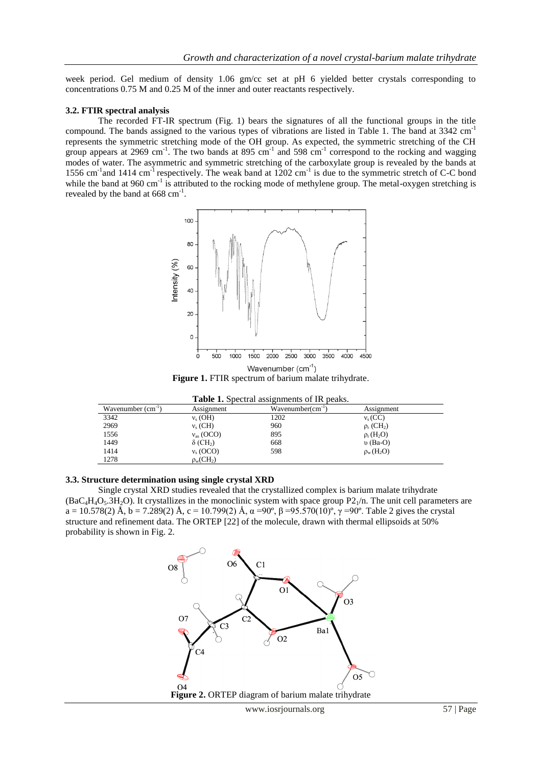week period. Gel medium of density 1.06 gm/cc set at pH 6 yielded better crystals corresponding to concentrations 0.75 M and 0.25 M of the inner and outer reactants respectively.

#### **3.2. FTIR spectral analysis**

The recorded FT-IR spectrum (Fig. 1) bears the signatures of all the functional groups in the title compound. The bands assigned to the various types of vibrations are listed in Table 1. The band at 3342 cm<sup>-1</sup> represents the symmetric stretching mode of the OH group. As expected, the symmetric stretching of the CH group appears at 2969 cm<sup>-1</sup>. The two bands at 895 cm<sup>-1</sup> and 598 cm<sup>-1</sup> correspond to the rocking and wagging modes of water. The asymmetric and symmetric stretching of the carboxylate group is revealed by the bands at 1556 cm<sup>-1</sup> and 1414 cm<sup>-1</sup> respectively. The weak band at 1202 cm<sup>-1</sup> is due to the symmetric stretch of C-C bond while the band at  $960 \text{ cm}^{-1}$  is attributed to the rocking mode of methylene group. The metal-oxygen stretching is revealed by the band at  $668 \text{ cm}^{-1}$ .



Figure 1. FTIR spectrum of barium malate trihydrate.

| <b>Table 1.</b> Specular assignments of IR peaks. |                             |                           |                             |  |
|---------------------------------------------------|-----------------------------|---------------------------|-----------------------------|--|
| Wavenumber $(cm-1)$                               | Assignment                  | $W$ avenumber $(cm^{-1})$ | Assignment                  |  |
| 3342                                              | $v_s$ (OH)                  | 1202                      | $v_s(CC)$                   |  |
| 2969                                              | $v_s$ (CH)                  | 960                       | $\rho_r$ (CH <sub>2</sub> ) |  |
| 1556                                              | $v_{\rm as}$ (OCO)          | 895                       | $\rho_r$ (H <sub>2</sub> O) |  |
| 1449                                              | $\delta$ (CH <sub>2</sub> ) | 668                       | $\upsilon$ (Ba-O)           |  |
| 1414                                              | $v_s (OCO)$                 | 598                       | $\rho_w(H_2O)$              |  |
| 1278                                              | $\rho_{w}(CH_{2})$          |                           |                             |  |

|                | Table 1. Spectral assignments of IR peaks    |
|----------------|----------------------------------------------|
| $A$ coicenwant | $W$ <sub>a</sub> yanumbar(am <sup>-1</sup> ) |

#### **3.3. Structure determination using single crystal XRD**

Single crystal XRD studies revealed that the crystallized complex is barium malate trihydrate  $(BaC_4H_4O_5.3H_2O)$ . It crystallizes in the monoclinic system with space group P2<sub>1</sub>/n. The unit cell parameters are a = 10.578(2) Å, b = 7.289(2) Å, c = 10.799(2) Å,  $\alpha$  =90°,  $\beta$  =95.570(10)°,  $\gamma$  =90°. Table 2 gives the crystal structure and refinement data. The ORTEP [22] of the molecule, drawn with thermal ellipsoids at 50% probability is shown in Fig. 2.

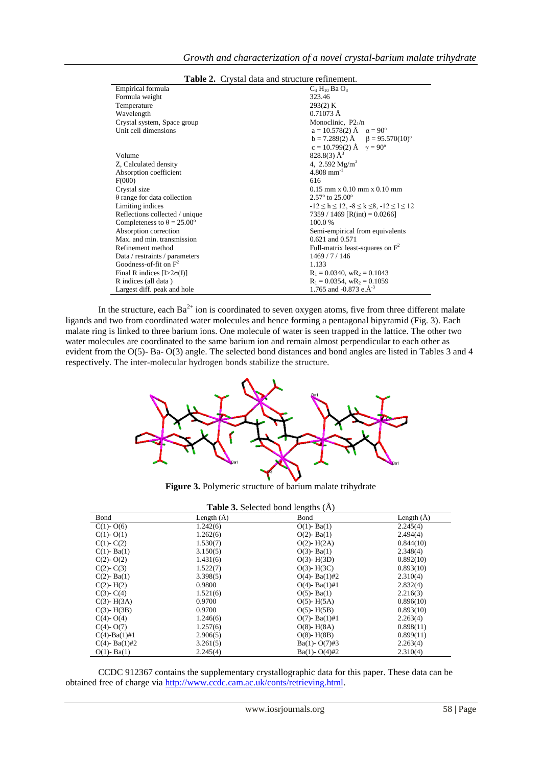| Empirical formula                        | $C_4$ H <sub>10</sub> Ba $O_8$                             |  |
|------------------------------------------|------------------------------------------------------------|--|
| Formula weight                           | 323.46                                                     |  |
| Temperature                              | 293(2) K                                                   |  |
| Wavelength                               | $0.71073 \text{ Å}$                                        |  |
| Crystal system, Space group              | Monoclinic, $P2_1/n$                                       |  |
| Unit cell dimensions                     | $a = 10.578(2)$ Å $\alpha = 90^{\circ}$                    |  |
|                                          | $b = 7.289(2)$ $\AA$ $\beta = 95.570(10)^{\circ}$          |  |
|                                          | $c = 10.799(2)$ Å $\gamma = 90^{\circ}$                    |  |
| Volume                                   | $828.8(3)$ $\AA$ <sup>3</sup>                              |  |
| Z, Calculated density                    | 4, 2.592 $Mg/m^3$                                          |  |
| Absorption coefficient                   | $4.808$ mm <sup>-1</sup>                                   |  |
| F(000)                                   | 616                                                        |  |
| Crystal size                             | $0.15$ mm x $0.10$ mm x $0.10$ mm                          |  |
| $\theta$ range for data collection       | $2.57^{\circ}$ to $25.00^{\circ}$                          |  |
| Limiting indices                         | $-12 \le h \le 12$ , $-8 \le k \le 8$ , $-12 \le l \le 12$ |  |
| Reflections collected / unique           | 7359 / 1469 [R(int) = 0.0266]                              |  |
| Completeness to $\theta = 25.00^{\circ}$ | 100.0%                                                     |  |
| Absorption correction                    | Semi-empirical from equivalents                            |  |
| Max. and min. transmission               | 0.621 and 0.571                                            |  |
| Refinement method                        | Full-matrix least-squares on $F^2$                         |  |
| Data / restraints / parameters           | 1469/7/146                                                 |  |
| Goodness-of-fit on $F^2$                 | 1.133                                                      |  |
| Final R indices $[L>2\sigma(I)]$         | $R_1 = 0.0340$ , $wR_2 = 0.1043$                           |  |
| R indices (all data)                     | $R_1 = 0.0354$ , $wR_2 = 0.1059$                           |  |
| Largest diff. peak and hole              | 1.765 and -0.873 e. $A^{-3}$                               |  |

**Table 2.** Crystal data and structure refinement.

In the structure, each  $Ba^{2+}$  ion is coordinated to seven oxygen atoms, five from three different malate ligands and two from coordinated water molecules and hence forming a pentagonal bipyramid (Fig. 3). Each malate ring is linked to three barium ions. One molecule of water is seen trapped in the lattice. The other two water molecules are coordinated to the same barium ion and remain almost perpendicular to each other as evident from the O(5)- Ba- O(3) angle. The selected bond distances and bond angles are listed in Tables 3 and 4 respectively. The inter-molecular hydrogen bonds stabilize the structure.



**Figure 3.** Polymeric structure of barium malate trihydrate

| Table 3. Selected bond lengths (Å) |  |  |  |  |
|------------------------------------|--|--|--|--|
|------------------------------------|--|--|--|--|

| Bond                 | Length $(A)$ | $\mathcal{Q}^{\mathcal{P}}$<br>$\sim$ $\sim$ $\sim$<br>Bond | Length $(A)$ |
|----------------------|--------------|-------------------------------------------------------------|--------------|
| $C(1)-O(6)$          | 1.242(6)     | $O(1)$ - Ba $(1)$                                           | 2.245(4)     |
| $C(1)-O(1)$          | 1.262(6)     | $O(2)$ - Ba(1)                                              | 2.494(4)     |
| $C(1)$ - $C(2)$      | 1.530(7)     | $O(2)$ - H $(2A)$                                           | 0.844(10)    |
| $C(1)$ - Ba $(1)$    | 3.150(5)     | $O(3)$ - Ba(1)                                              | 2.348(4)     |
| $C(2)-O(2)$          | 1.431(6)     | $O(3)$ - H $(3D)$                                           | 0.892(10)    |
| $C(2)$ - $C(3)$      | 1.522(7)     | $O(3)$ - H $(3C)$                                           | 0.893(10)    |
| $C(2)$ - Ba(1)       | 3.398(5)     | $O(4)$ - Ba $(1)$ #2                                        | 2.310(4)     |
| $C(2)$ - H $(2)$     | 0.9800       | $O(4)$ - Ba $(1)$ #1                                        | 2.832(4)     |
| $C(3)$ - $C(4)$      | 1.521(6)     | $O(5)$ - Ba $(1)$                                           | 2.216(3)     |
| $C(3)$ - H $(3A)$    | 0.9700       | $O(5)$ - H $(5A)$                                           | 0.896(10)    |
| $C(3)$ - H $(3B)$    | 0.9700       | $O(5)$ - H $(5B)$                                           | 0.893(10)    |
| $C(4)$ - $O(4)$      | 1.246(6)     | $O(7)$ - Ba $(1)$ #1                                        | 2.263(4)     |
| $C(4)-O(7)$          | 1.257(6)     | $O(8)$ - H $(8A)$                                           | 0.898(11)    |
| $C(4)$ -Ba $(1)$ #1  | 2.906(5)     | $O(8)$ - H $(8B)$                                           | 0.899(11)    |
| $C(4)$ - Ba $(1)$ #2 | 3.261(5)     | $Ba(1)-O(7)$ #3                                             | 2.263(4)     |
| $O(1)$ - Ba $(1)$    | 2.245(4)     | $Ba(1)-O(4)\#2$                                             | 2.310(4)     |

CCDC 912367 contains the supplementary crystallographic data for this paper. These data can be obtained free of charge via [http://www.ccdc.cam.ac.uk/conts/retrieving.html.](http://www.ccdc.cam.ac.uk/conts/retrieving.html)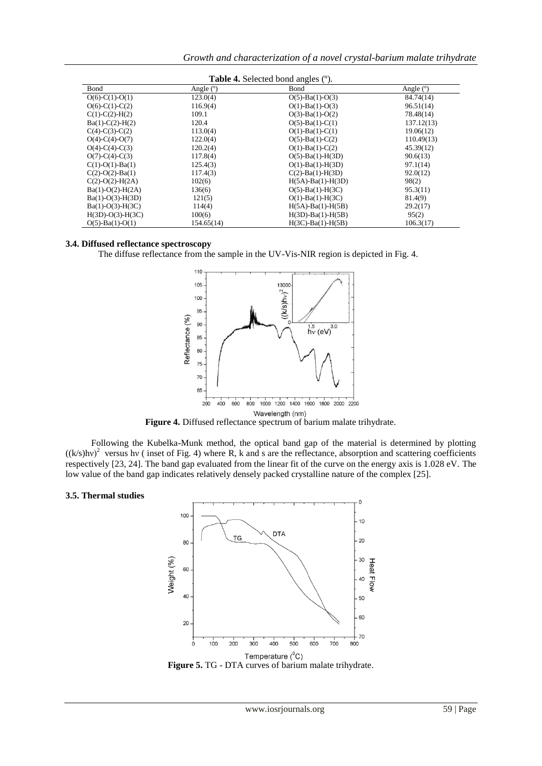| <b>Table 4.</b> Selected bond angles (°). |             |                            |             |
|-------------------------------------------|-------------|----------------------------|-------------|
| Bond                                      | Angle $(°)$ | Bond                       | Angle $(°)$ |
| $O(6)-C(1)-O(1)$                          | 123.0(4)    | $O(5)$ -Ba(1)- $O(3)$      | 84.74(14)   |
| $O(6)-C(1)-C(2)$                          | 116.9(4)    | $O(1)$ -Ba $(1)$ -O $(3)$  | 96.51(14)   |
| $C(1)-C(2)-H(2)$                          | 109.1       | $O(3)$ -Ba(1)- $O(2)$      | 78.48(14)   |
| $Ba(1)-C(2)-H(2)$                         | 120.4       | $O(5)$ -Ba(1)-C(1)         | 137.12(13)  |
| $C(4)-C(3)-C(2)$                          | 113.0(4)    | $O(1)$ -Ba $(1)$ -C $(1)$  | 19.06(12)   |
| $O(4)-C(4)-O(7)$                          | 122.0(4)    | $O(5)$ -Ba(1)-C(2)         | 110.49(13)  |
| $O(4)-C(4)-C(3)$                          | 120.2(4)    | $O(1)$ -Ba(1)-C(2)         | 45.39(12)   |
| $O(7)$ -C(4)-C(3)                         | 117.8(4)    | $O(5)$ -Ba(1)-H(3D)        | 90.6(13)    |
| $C(1)-O(1)-Ba(1)$                         | 125.4(3)    | $O(1)$ -Ba $(1)$ -H $(3D)$ | 97.1(14)    |
| $C(2)-O(2)-Ba(1)$                         | 117.4(3)    | $C(2)$ -Ba(1)-H(3D)        | 92.0(12)    |
| $C(2)-O(2)-H(2A)$                         | 102(6)      | $H(5A)$ -Ba(1)-H(3D)       | 98(2)       |
| $Ba(1)-O(2)-H(2A)$                        | 136(6)      | $O(5)$ -Ba(1)-H(3C)        | 95.3(11)    |
| $Ba(1)-O(3)-H(3D)$                        | 121(5)      | $O(1)$ -Ba $(1)$ -H $(3C)$ | 81.4(9)     |
| $Ba(1)-O(3)-H(3C)$                        | 114(4)      | $H(5A)$ -Ba(1)-H(5B)       | 29.2(17)    |
| $H(3D)-O(3)-H(3C)$                        | 100(6)      | $H(3D)$ -Ba(1)-H(5B)       | 95(2)       |
| $O(5)$ -Ba(1)- $O(1)$                     | 154.65(14)  | $H(3C)$ -Ba(1)-H(5B)       | 106.3(17)   |

#### **3.4. Diffused reflectance spectroscopy**

The diffuse reflectance from the sample in the UV-Vis-NIR region is depicted in Fig. 4.



**Figure 4.** Diffused reflectance spectrum of barium malate trihydrate.

Following the Kubelka-Munk method, the optical band gap of the material is determined by plotting  $((k/s)hv)^2$  versus hv (inset of Fig. 4) where R, k and s are the reflectance, absorption and scattering coefficients respectively [23, 24]. The band gap evaluated from the linear fit of the curve on the energy axis is 1.028 eV. The low value of the band gap indicates relatively densely packed crystalline nature of the complex [25].

#### **3.5. Thermal studies**



Figure 5. TG - DTA curves of barium malate trihydrate.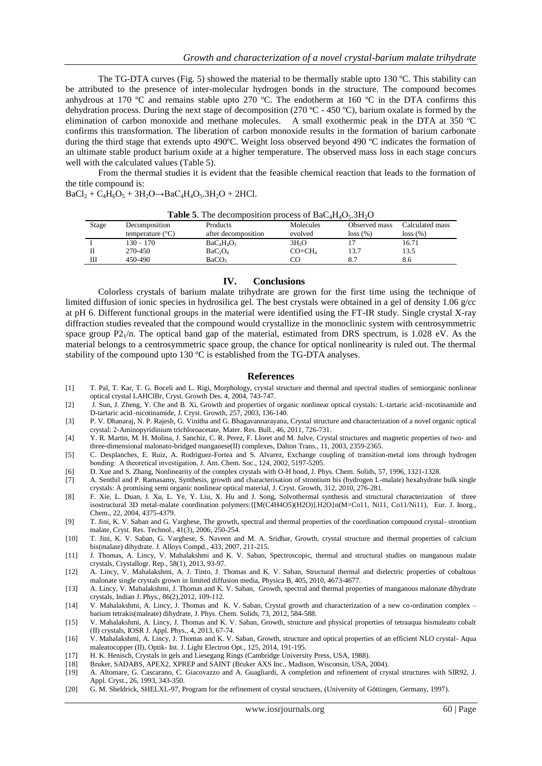The TG-DTA curves (Fig. 5) showed the material to be thermally stable upto 130 °C. This stability can be attributed to the presence of inter-molecular hydrogen bonds in the structure. The compound becomes anhydrous at 170 ºC and remains stable upto 270 ºC. The endotherm at 160 ºC in the DTA confirms this dehydration process. During the next stage of decomposition (270 ºC - 450 ºC), barium oxalate is formed by the elimination of carbon monoxide and methane molecules. A small exothermic peak in the DTA at 350 ºC confirms this transformation. The liberation of carbon monoxide results in the formation of barium carbonate during the third stage that extends upto 490ºC. Weight loss observed beyond 490 ºC indicates the formation of an ultimate stable product barium oxide at a higher temperature. The observed mass loss in each stage concurs well with the calculated values (Table 5).

From the thermal studies it is evident that the feasible chemical reaction that leads to the formation of the title compound is:

 $BaCl_2 + C_4H_6O_5 + 3H_2O \rightarrow BaC_4H_4O_5.3H_2O + 2HCl.$ 

| <b>Table 5.</b> The decomposition process of $BdC_4H_4O_5$ . $3H_2O$ |                           |                                 |                   |               |                 |
|----------------------------------------------------------------------|---------------------------|---------------------------------|-------------------|---------------|-----------------|
| Stage                                                                | Decomposition             | Products                        | <b>Molecules</b>  | Observed mass | Calculated mass |
|                                                                      | temperature $(^{\circ}C)$ | after decomposition             | evolved           | loss(%)       | loss(%)         |
|                                                                      | $130 - 170$               | $BaC4H4O5$                      | 3H <sub>2</sub> O |               | 16.71           |
|                                                                      | 270-450                   | BaC <sub>2</sub> O <sub>4</sub> | $CO + CH4$        | 13.7          | 13.5            |
| Ш                                                                    | 450-490                   | BaCO <sub>3</sub>               | CO                |               | 8.6             |

**Table 5**. The decomposition process of BaC H<sub>O</sub> $\alpha$ <sup>3H<sub>O</sub></sub></sup>

#### **IV. Conclusions**

 Colorless crystals of barium malate trihydrate are grown for the first time using the technique of limited diffusion of ionic species in hydrosilica gel. The best crystals were obtained in a gel of density 1.06 g/cc at pH 6. Different functional groups in the material were identified using the FT-IR study. Single crystal X-ray diffraction studies revealed that the compound would crystallize in the monoclinic system with centrosymmetric space group  $P2_1/n$ . The optical band gap of the material, estimated from DRS spectrum, is 1.028 eV. As the material belongs to a centrosymmetric space group, the chance for optical nonlinearity is ruled out. The thermal stability of the compound upto 130  $^{\circ}$ C is established from the TG-DTA analyses.

#### **References**

- [1] T. Pal, T. Kar, T. G. Boceli and L. Rigi, Morphology, crystal structure and thermal and spectral studies of semiorganic nonlinear optical crystal LAHClBr, Cryst. Growth Des. 4, 2004, 743-747.
- [2] J. Sun, J. Zheng, Y. Che and B. Xi, Growth and properties of organic nonlinear optical crystals: L-tartaric acid–nicotinamide and D-tartaric acid–nicotinamide, J. Cryst. Growth, 257, 2003, 136-140.
- [3] P. V. Dhanaraj, N. P. Rajesh, G. Vinitha and G. Bhagavannarayana, Crystal structure and characterization of a novel organic optical crystal: 2-Aminopyridinium trichloroacetate, Mater. Res. Bull., 46, 2011, 726-731.
- [4] Y. R. Martin, M. H. Molina, J. Sanchiz, C. R. Perez, F. Lloret and M. Julve, Crystal structures and magnetic properties of two- and three-dimensional malonato-bridged manganese(II) complexes, Dalton Trans., 11, 2003, 2359-2365.
- [5] C. Desplanches, E. Ruiz, A. Rodriguez-Fortea and S. Alvarez, Exchange coupling of transition-metal ions through hydrogen bonding:  A theoretical investigation, J. Am. Chem. Soc., 124, 2002, 5197-5205.
- [6] D. Xue and S. Zhang, Nonlinearity of the complex crystals with O-H bond, J. Phys. Chem. Solids, 57, 1996, 1321-1328.
- [7] A. Senthil and P. Ramasamy, Synthesis, growth and characterisation of strontium bis (hydrogen L-malate) hexahydrate bulk single crystals: A promising semi organic nonlinear optical material, J. Cryst. Growth, 312, 2010, 276-281.
- [8] F. Xie, L. Duan, J. Xu, L. Ye, Y. Liu, X. Hu and J. Song, Solvothermal synthesis and structural characterization of three isostructural 3D metal-malate coordination polymers:{[M(C4H4O5)(H2O)].H2O}n(M=Co11, Ni11, Co11/Ni11), Eur. J. Inorg., Chem., 22, 2004, 4375-4379.
- [9] T. Jini, K. V. Saban and G. Varghese, The growth, spectral and thermal properties of the coordination compound crystal- strontium malate, Cryst. Res. Technol., 41(3), 2006, 250-254.
- [10] T. Jini, K. V. Saban, G. Varghese, S. Naveen and M. A. Sridhar, Growth, crystal structure and thermal properties of calcium bis(malate) dihydrate. J. Alloys Compd., 433, 2007, 211-215.
- [11] J. Thomas, A. Lincy, V. Mahalakshmi and K. V. Saban, Spectroscopic, thermal and structural studies on manganous malate crystals, Crystallogr. Rep., 58(1), 2013, 93-97.
- [12] A. Lincy, V. Mahalakshmi, A. J. Tinto, J. Thomas and K. V. Saban, Structural thermal and dielectric properties of cobaltous malonate single crystals grown in limited diffusion media, Physica B, 405, 2010, 4673-4677.
- [13] A. Lincy, V. Mahalakshmi, J. Thomas and K. V. Saban, Growth, spectral and thermal properties of manganous malonate dihydrate crystals, Indian J. Phys., 86(2),2012, 109-112.
- [14] V. Mahalakshmi, A. Lincy, J. Thomas and K. V. Saban, Crystal growth and characterization of a new co-ordination complex barium tetrakis(maleate) dihydrate, J. Phys. Chem. Solids, 73, 2012, 584-588.
- [15] V. Mahalakshmi, A. Lincy, J. Thomas and K. V. Saban, Growth, structure and physical properties of tetraaqua bismaleato cobalt (II) crystals, IOSR J. Appl. Phys., 4, 2013, 67-74.
- [16] V. Mahalakshmi, A. Lincy, J. Thomas and K. V. Saban, Growth, structure and optical properties of an efficient NLO crystal- Aqua maleatocopper (II), Optik- Int. J. Light Electron Opt., 125, 2014, 191-195.
- [17] H. K. Henisch, Crystals in gels and Liesegang Rings (Cambridge University Press, USA, 1988).
- [18] Bruker, SADABS, APEX2, XPREP and SAINT (Bruker AXS Inc., Madison, Wisconsin, USA, 2004).
- [19] A. Altomare, G. Cascarano, C. Giacovazzo and A. Guagliardi, A completion and refinement of crystal structures with SIR92, J. Appl. Cryst., 26, 1993, 343-350.
- [20] G. M. Sheldrick, SHELXL-97, Program for the refinement of crystal structures, (University of Göttingen, Germany, 1997).